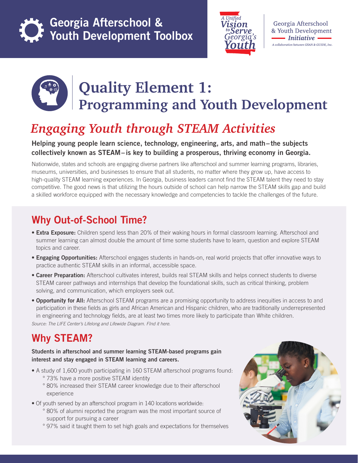

Georgia Afterschool & Youth Development Toolbox



Georgia Afterschool & Youth Development - Initiative -A collaboration between GSAN & GUIDE, Inc.



# **Quality Element 1: Programming and Youth Development**

# *Engaging Youth through STEAM Activities*

### Helping young people learn science, technology, engineering, arts, and math–the subjects collectively known as STEAM– is key to building a prosperous, thriving economy in Georgia.

Nationwide, states and schools are engaging diverse partners like afterschool and summer learning programs, libraries, museums, universities, and businesses to ensure that all students, no matter where they grow up, have access to high-quality STEAM learning experiences. In Georgia, business leaders cannot find the STEAM talent they need to stay competitive. The good news is that utilizing the hours outside of school can help narrow the STEAM skills gap and build a skilled workforce equipped with the necessary knowledge and competencies to tackle the challenges of the future.

# Why Out-of-School Time?

- Extra Exposure: Children spend less than 20% of their waking hours in formal classroom learning. Afterschool and summer learning can almost double the amount of time some students have to learn, question and explore STEAM topics and career.
- Engaging Opportunities: Afterschool engages students in hands-on, real world projects that offer innovative ways to practice authentic STEAM skills in an informal, accessible space.
- Career Preparation: Afterschool cultivates interest, builds real STEAM skills and helps connect students to diverse STEAM career pathways and internships that develop the foundational skills, such as critical thinking, problem solving, and communication, which employers seek out.
- Opportunity for All: Afterschool STEAM programs are a promising opportunity to address inequities in access to and participation in these fields as girls and African American and Hispanic children, who are traditionally underrepresented in engineering and technology fields, are at least two times more likely to participate than White children. *Source: The LIFE Center's Lifelong and Lifewide Diagram. FInd it here.*

# Why STEAM?

### Students in afterschool and summer learning STEAM-based programs gain interest and stay engaged in STEAM learning and careers.

- A study of 1,600 youth participating in 160 STEAM afterschool programs found: ° 73% have a more positive STEAM identity
	- ° 80% increased their STEAM career knowledge due to their afterschool experience
- Of youth served by an afterschool program in 140 locations worldwide:
	- ° 80% of alumni reported the program was the most important source of support for pursuing a career
		- ° 97% said it taught them to set high goals and expectations for themselves

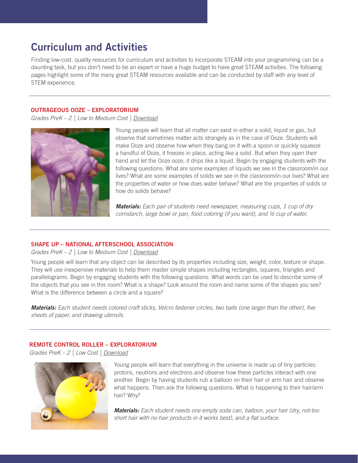# Curriculum and Activities

Finding low-cost, quality resources for curriculum and activities to incorporate STEAM into your programming can be a daunting task, but you don't need to be an expert or have a huge budget to have great STEAM activities. The following pages highlight some of the many great STEAM resources available and can be conducted by staff with any level of STEM experience.

#### OUTRAGEOUS OOZE – EXPLORATORIUM

*Grades PreK – 2 | Low to Medium Cost [| Download](https://www.exploratorium.edu/science_explorer/ooze.html)*



Young people will learn that all matter can exist in either a solid, liquid or gas, but observe that sometimes matter acts strangely as in the case of Ooze. Students will make Ooze and observe how when they bang on it with a spoon or quickly squeeze a handful of Ooze, it freezes in place, acting like a solid. But when they open their hand and let the Ooze ooze, it drips like a liquid. Begin by engaging students with the following questions: What are some examples of liquids we see in the classroom/in our lives? What are some examples of solids we see in the classroom/in our lives? What are the properties of water or how does water behave? What are the properties of solids or how do solids behave?

*Materials: Each pair of students need newspaper, measuring cups, 1 cup of dry cornstarch, large bowl or pan, food coloring (if you want), and ½ cup of water.*

### SHAPE UP – NATIONAL AFTERSCHOOL ASSOCIATION

### *Grades PreK – 2 | Low to Medium Cost [| Download](https://naaweb.org/images/STEMGems-ShapeUp.pdf)*

Young people will learn that any object can be described by its properties including size, weight, color, texture or shape. They will use inexpensive materials to help them master simple shapes including rectangles, squares, triangles and parallelograms. Begin by engaging students with the following questions: What words can be used to describe some of the objects that you see in this room? What is a shape? Look around the room and name some of the shapes you see? What is the difference between a circle and a square?

*Materials: Each student needs colored craft sticks, Velcro fastener circles, two balls (one larger than the other), five sheets of paper, and drawing utensils.* 

### REMOTE CONTROL ROLLER – EXPLORATORIUM

*Grades PreK – 2 | Low Cost [| Download](https://www.exploratorium.edu/science_explorer/roller.html)*



Young people will learn that everything in the universe is made up of tiny particles: protons, neutrons and electrons and observe how these particles interact with one another. Begin by having students rub a balloon on their hair or arm hair and observe what happens. Then ask the following questions: What is happening to their hair/arm hair? Why?

*Materials: Each student needs one empty soda can, balloon, your hair (dry, not-too short hair with no hair products in it works best), and a flat surface.*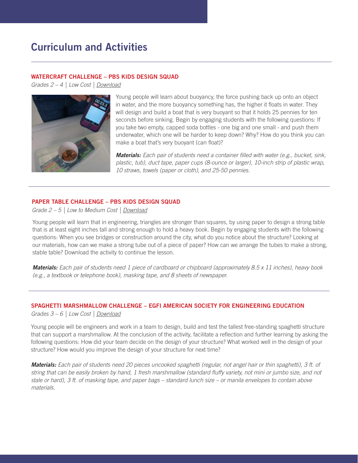## Curriculum and Activities

#### WATERCRAFT CHALLENGE – PBS KIDS DESIGN SQUAD

*Grades 2 – 4 | Low Cost [| Download](https://pbskids.org/designsquad/pdf/parentseducators/DS_Act_Guide_complete.pdf)*



Young people will learn about buoyancy, the force pushing back up onto an object in water, and the more buoyancy something has, the higher it floats in water. They will design and build a boat that is very buoyant so that it holds 25 pennies for ten seconds before sinking. Begin by engaging students with the following questions: If you take two empty, capped soda bottles - one big and one small - and push them underwater, which one will be harder to keep down? Why? How do you think you can make a boat that's very buoyant (can float)?

*Materials: Each pair of students need a container filled with water (e.g., bucket, sink, plastic, tub), duct tape, paper cups (8-ounce or larger), 10-inch strip of plastic wrap, 10 straws, towels (paper or cloth), and 25-50 pennies.*

#### PAPER TABLE CHALLENGE – PBS KIDS DESIGN SQUAD

*Grade 2 – 5 | Low to Medium Cost [| Download](https://pbskids.org/designsquad/parentseducators/resources/paper_table.html)*

Young people will learn that in engineering, triangles are stronger than squares, by using paper to design a strong table that is at least eight inches tall and strong enough to hold a heavy book. Begin by engaging students with the following questions: When you see bridges or construction around the city, what do you notice about the structure? Looking at our materials, how can we make a strong tube out of a piece of paper? How can we arrange the tubes to make a strong, stable table? Download the activity to continue the lesson.

*Materials: Each pair of students need 1 piece of cardboard or chipboard (approximately 8.5 x 11 inches), heavy book (e.g., a textbook or telephone book), masking tape, and 8 sheets of newspaper.*

### SPAGHETTI MARSHMALLOW CHALLENGE – EGFI AMERICAN SOCIETY FOR ENGINEERING EDUCATION

*Grades 3 – 6 | Low Cost | [Download](http://teachers.egfi-k12.org/marshmallow-design-challenge/)*

Young people will be engineers and work in a team to design, build and test the tallest free-standing spaghetti structure that can support a marshmallow. At the conclusion of the activity, facilitate a reflection and further learning by asking the following questions: How did your team decide on the design of your structure? What worked well in the design of your structure? How would you improve the design of your structure for next time?

*Materials: Each pair of students need 20 pieces uncooked spaghetti (regular, not angel hair or thin spaghetti), 3 ft. of string that can be easily broken by hand, 1 fresh marshmallow (standard fluffy variety, not mini or jumbo size, and not stale or hard), 3 ft. of masking tape, and paper bags – standard lunch size – or manila envelopes to contain above materials.*